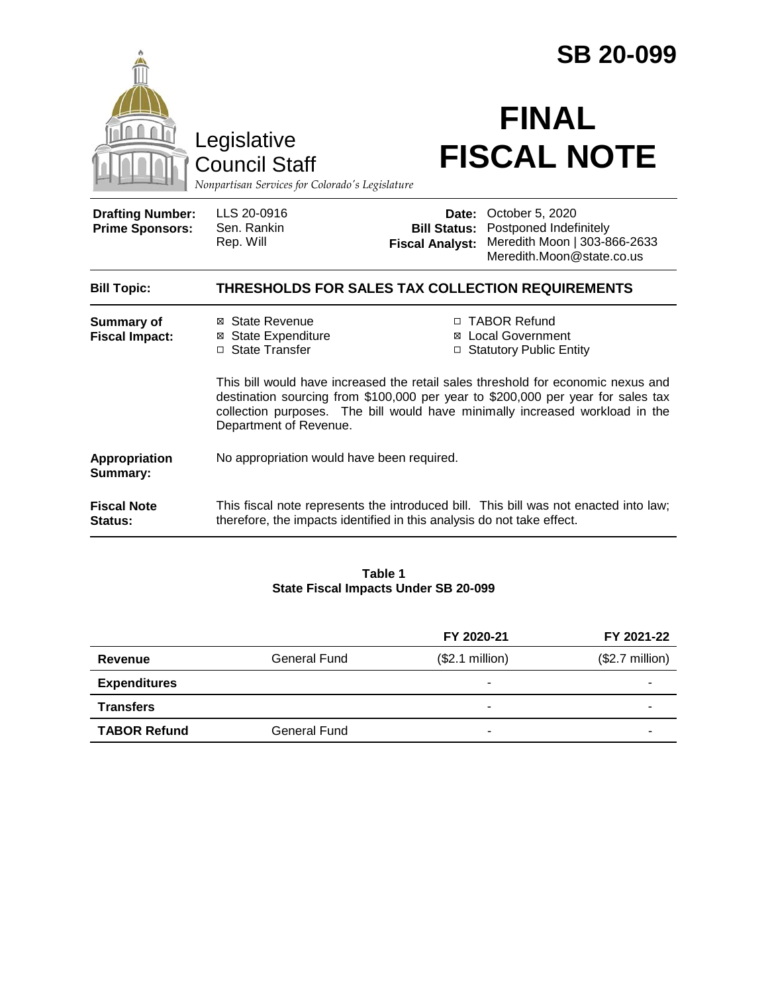|                                                                                        |                                                                                                                                                                                                                                                                                | <b>SB 20-099</b>                   |                                                                                                                                  |  |
|----------------------------------------------------------------------------------------|--------------------------------------------------------------------------------------------------------------------------------------------------------------------------------------------------------------------------------------------------------------------------------|------------------------------------|----------------------------------------------------------------------------------------------------------------------------------|--|
| Legislative<br><b>Council Staff</b><br>Nonpartisan Services for Colorado's Legislature |                                                                                                                                                                                                                                                                                | <b>FINAL</b><br><b>FISCAL NOTE</b> |                                                                                                                                  |  |
| <b>Drafting Number:</b><br><b>Prime Sponsors:</b>                                      | LLS 20-0916<br>Sen. Rankin<br>Rep. Will                                                                                                                                                                                                                                        | <b>Fiscal Analyst:</b>             | Date: October 5, 2020<br><b>Bill Status: Postponed Indefinitely</b><br>Meredith Moon   303-866-2633<br>Meredith Moon@state.co.us |  |
| <b>Bill Topic:</b>                                                                     | THRESHOLDS FOR SALES TAX COLLECTION REQUIREMENTS                                                                                                                                                                                                                               |                                    |                                                                                                                                  |  |
| <b>Summary of</b><br><b>Fiscal Impact:</b>                                             | ⊠ State Revenue<br><b>⊠</b> State Expenditure<br>□ State Transfer                                                                                                                                                                                                              |                                    | □ TABOR Refund<br>⊠ Local Government<br>□ Statutory Public Entity                                                                |  |
|                                                                                        | This bill would have increased the retail sales threshold for economic nexus and<br>destination sourcing from \$100,000 per year to \$200,000 per year for sales tax<br>collection purposes. The bill would have minimally increased workload in the<br>Department of Revenue. |                                    |                                                                                                                                  |  |
| Appropriation<br><b>Summary:</b>                                                       | No appropriation would have been required.                                                                                                                                                                                                                                     |                                    |                                                                                                                                  |  |
| <b>Fiscal Note</b><br>Status:                                                          | therefore, the impacts identified in this analysis do not take effect.                                                                                                                                                                                                         |                                    | This fiscal note represents the introduced bill. This bill was not enacted into law;                                             |  |

#### **Table 1 State Fiscal Impacts Under SB 20-099**

|                     |                     | FY 2020-21      | FY 2021-22       |
|---------------------|---------------------|-----------------|------------------|
| Revenue             | <b>General Fund</b> | (\$2.1 million) | $($2.7$ million) |
| <b>Expenditures</b> |                     |                 |                  |
| <b>Transfers</b>    |                     |                 |                  |
| <b>TABOR Refund</b> | General Fund        |                 |                  |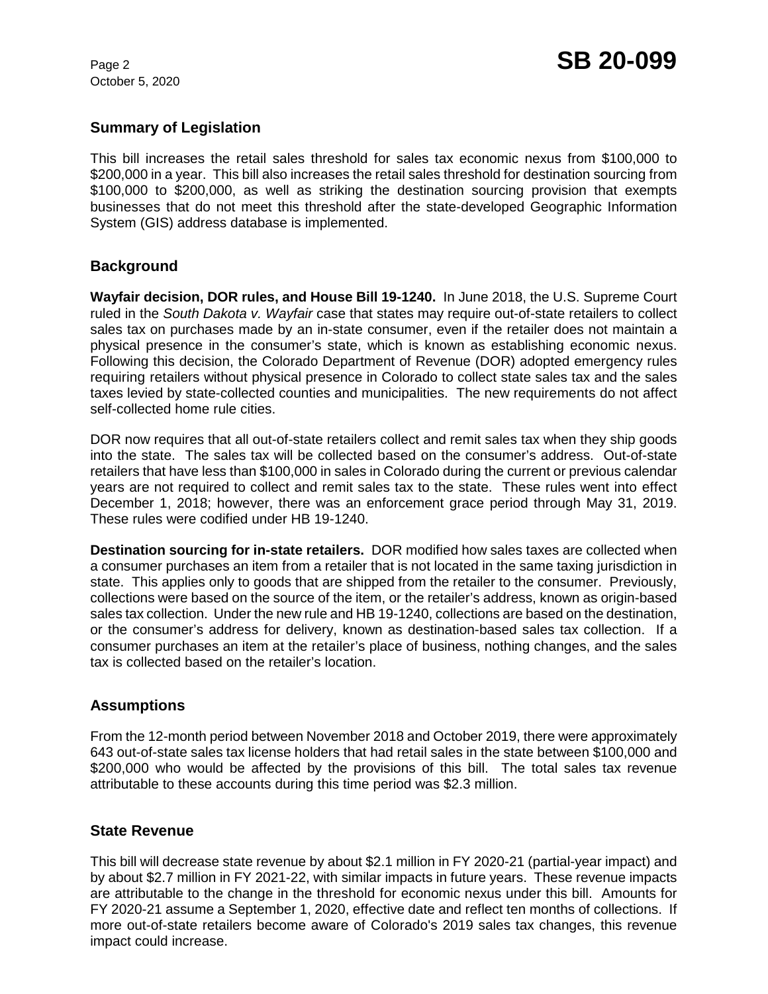October 5, 2020

# **Summary of Legislation**

This bill increases the retail sales threshold for sales tax economic nexus from \$100,000 to \$200,000 in a year. This bill also increases the retail sales threshold for destination sourcing from \$100,000 to \$200,000, as well as striking the destination sourcing provision that exempts businesses that do not meet this threshold after the state-developed Geographic Information System (GIS) address database is implemented.

## **Background**

**Wayfair decision, DOR rules, and House Bill 19-1240.** In June 2018, the U.S. Supreme Court ruled in the *South Dakota v. Wayfair* case that states may require out-of-state retailers to collect sales tax on purchases made by an in-state consumer, even if the retailer does not maintain a physical presence in the consumer's state, which is known as establishing economic nexus. Following this decision, the Colorado Department of Revenue (DOR) adopted emergency rules requiring retailers without physical presence in Colorado to collect state sales tax and the sales taxes levied by state-collected counties and municipalities. The new requirements do not affect self-collected home rule cities.

DOR now requires that all out-of-state retailers collect and remit sales tax when they ship goods into the state. The sales tax will be collected based on the consumer's address. Out-of-state retailers that have less than \$100,000 in sales in Colorado during the current or previous calendar years are not required to collect and remit sales tax to the state. These rules went into effect December 1, 2018; however, there was an enforcement grace period through May 31, 2019. These rules were codified under HB 19-1240.

**Destination sourcing for in-state retailers.** DOR modified how sales taxes are collected when a consumer purchases an item from a retailer that is not located in the same taxing jurisdiction in state. This applies only to goods that are shipped from the retailer to the consumer. Previously, collections were based on the source of the item, or the retailer's address, known as origin-based sales tax collection. Under the new rule and HB 19-1240, collections are based on the destination, or the consumer's address for delivery, known as destination-based sales tax collection. If a consumer purchases an item at the retailer's place of business, nothing changes, and the sales tax is collected based on the retailer's location.

## **Assumptions**

From the 12-month period between November 2018 and October 2019, there were approximately 643 out-of-state sales tax license holders that had retail sales in the state between \$100,000 and \$200,000 who would be affected by the provisions of this bill. The total sales tax revenue attributable to these accounts during this time period was \$2.3 million.

### **State Revenue**

This bill will decrease state revenue by about \$2.1 million in FY 2020-21 (partial-year impact) and by about \$2.7 million in FY 2021-22, with similar impacts in future years. These revenue impacts are attributable to the change in the threshold for economic nexus under this bill. Amounts for FY 2020-21 assume a September 1, 2020, effective date and reflect ten months of collections. If more out-of-state retailers become aware of Colorado's 2019 sales tax changes, this revenue impact could increase.